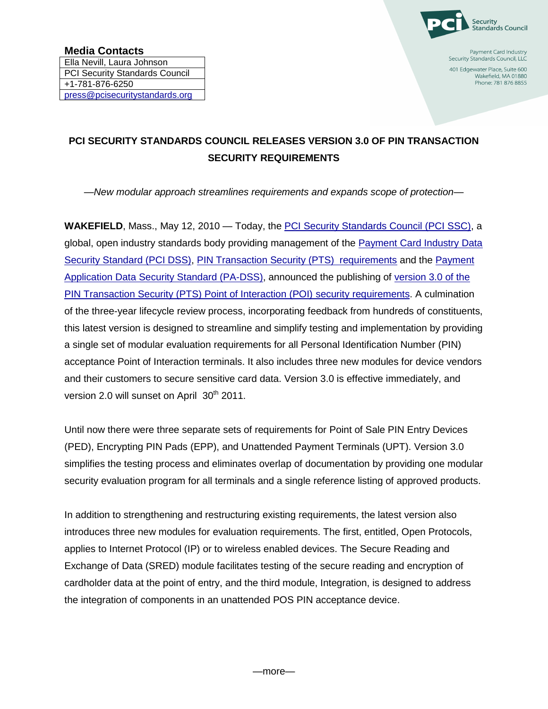

Payment Card Industry Security Standards Council, LLC 401 Edgewater Place, Suite 600 Wakefield, MA 01880

Phone: 781 876 8855

## **PCI SECURITY STANDARDS COUNCIL RELEASES VERSION 3.0 OF PIN TRANSACTION SECURITY REQUIREMENTS**

*—New modular approach streamlines requirements and expands scope of protection—*

**WAKEFIELD**, Mass., May 12, 2010 — Today, the [PCI Security Standards Council \(PCI SSC\),](https://www.pcisecuritystandards.org/index.shtml) a global, open industry standards body providing management of the [Payment Card Industry Data](https://www.pcisecuritystandards.org/security_standards/pci_dss.shtml)  [Security Standard \(PCI DSS\),](https://www.pcisecuritystandards.org/security_standards/pci_dss.shtml) [PIN Transaction Security \(PTS\) requirements](https://www.pcisecuritystandards.org/security_standards/ped/index.shtml) and the [Payment](https://www.pcisecuritystandards.org/security_standards/pa_dss.shtml)  [Application Data Security Standard \(PA-DSS\),](https://www.pcisecuritystandards.org/security_standards/pa_dss.shtml) announced the publishing of [version 3.0 of the](https://www.pcisecuritystandards.org/security_standards/ped/index.shtml)  PIN [Transaction Security \(PTS\) Point of Interaction \(POI\) security requirements.](https://www.pcisecuritystandards.org/security_standards/ped/index.shtml) A culmination of the three-year lifecycle review process, incorporating feedback from hundreds of constituents, this latest version is designed to streamline and simplify testing and implementation by providing a single set of modular evaluation requirements for all Personal Identification Number (PIN) acceptance Point of Interaction terminals. It also includes three new modules for device vendors and their customers to secure sensitive card data. Version 3.0 is effective immediately, and version 2.0 will sunset on April 30<sup>th</sup> 2011.

Until now there were three separate sets of requirements for Point of Sale PIN Entry Devices (PED), Encrypting PIN Pads (EPP), and Unattended Payment Terminals (UPT). Version 3.0 simplifies the testing process and eliminates overlap of documentation by providing one modular security evaluation program for all terminals and a single reference listing of approved products.

In addition to strengthening and restructuring existing requirements, the latest version also introduces three new modules for evaluation requirements. The first, entitled, Open Protocols, applies to Internet Protocol (IP) or to wireless enabled devices. The Secure Reading and Exchange of Data (SRED) module facilitates testing of the secure reading and encryption of cardholder data at the point of entry, and the third module, Integration, is designed to address the integration of components in an unattended POS PIN acceptance device.